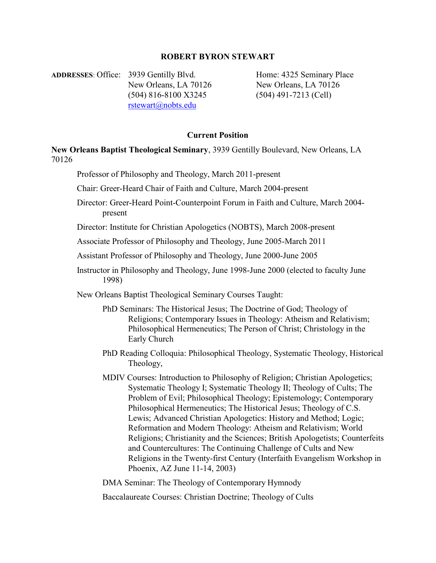# ROBERT BYRON STEWART

ADDRESSES: Office: 3939 Gentilly Blvd. Home: 4325 Seminary Place New Orleans, LA 70126 New Orleans, LA 70126 (504) 816-8100 X3245 (504) 491-7213 (Cell) rstewart@nobts.edu

## Current Position

New Orleans Baptist Theological Seminary, 3939 Gentilly Boulevard, New Orleans, LA 70126

Professor of Philosophy and Theology, March 2011-present

Chair: Greer-Heard Chair of Faith and Culture, March 2004-present

Director: Greer-Heard Point-Counterpoint Forum in Faith and Culture, March 2004 present

Director: Institute for Christian Apologetics (NOBTS), March 2008-present

Associate Professor of Philosophy and Theology, June 2005-March 2011

Assistant Professor of Philosophy and Theology, June 2000-June 2005

Instructor in Philosophy and Theology, June 1998-June 2000 (elected to faculty June 1998)

New Orleans Baptist Theological Seminary Courses Taught:

- PhD Seminars: The Historical Jesus; The Doctrine of God; Theology of Religions; Contemporary Issues in Theology: Atheism and Relativism; Philosophical Hermeneutics; The Person of Christ; Christology in the Early Church
- PhD Reading Colloquia: Philosophical Theology, Systematic Theology, Historical Theology,
- MDIV Courses: Introduction to Philosophy of Religion; Christian Apologetics; Systematic Theology I; Systematic Theology II; Theology of Cults; The Problem of Evil; Philosophical Theology; Epistemology; Contemporary Philosophical Hermeneutics; The Historical Jesus; Theology of C.S. Lewis; Advanced Christian Apologetics: History and Method; Logic; Reformation and Modern Theology: Atheism and Relativism; World Religions; Christianity and the Sciences; British Apologetists; Counterfeits and Countercultures: The Continuing Challenge of Cults and New Religions in the Twenty-first Century (Interfaith Evangelism Workshop in Phoenix, AZ June 11-14, 2003)

DMA Seminar: The Theology of Contemporary Hymnody

Baccalaureate Courses: Christian Doctrine; Theology of Cults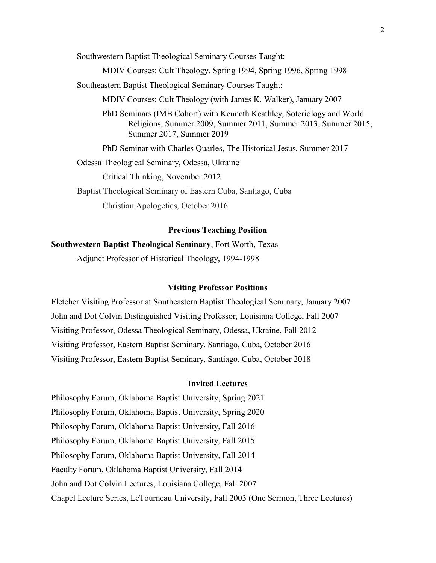Southwestern Baptist Theological Seminary Courses Taught:

MDIV Courses: Cult Theology, Spring 1994, Spring 1996, Spring 1998

Southeastern Baptist Theological Seminary Courses Taught:

MDIV Courses: Cult Theology (with James K. Walker), January 2007

PhD Seminars (IMB Cohort) with Kenneth Keathley, Soteriology and World Religions, Summer 2009, Summer 2011, Summer 2013, Summer 2015, Summer 2017, Summer 2019

PhD Seminar with Charles Quarles, The Historical Jesus, Summer 2017

Odessa Theological Seminary, Odessa, Ukraine

Critical Thinking, November 2012

Baptist Theological Seminary of Eastern Cuba, Santiago, Cuba Christian Apologetics, October 2016

## Previous Teaching Position

Southwestern Baptist Theological Seminary, Fort Worth, Texas

Adjunct Professor of Historical Theology, 1994-1998

### Visiting Professor Positions

Fletcher Visiting Professor at Southeastern Baptist Theological Seminary, January 2007 John and Dot Colvin Distinguished Visiting Professor, Louisiana College, Fall 2007 Visiting Professor, Odessa Theological Seminary, Odessa, Ukraine, Fall 2012 Visiting Professor, Eastern Baptist Seminary, Santiago, Cuba, October 2016 Visiting Professor, Eastern Baptist Seminary, Santiago, Cuba, October 2018

# Invited Lectures

Philosophy Forum, Oklahoma Baptist University, Spring 2021 Philosophy Forum, Oklahoma Baptist University, Spring 2020 Philosophy Forum, Oklahoma Baptist University, Fall 2016 Philosophy Forum, Oklahoma Baptist University, Fall 2015 Philosophy Forum, Oklahoma Baptist University, Fall 2014 Faculty Forum, Oklahoma Baptist University, Fall 2014 John and Dot Colvin Lectures, Louisiana College, Fall 2007 Chapel Lecture Series, LeTourneau University, Fall 2003 (One Sermon, Three Lectures)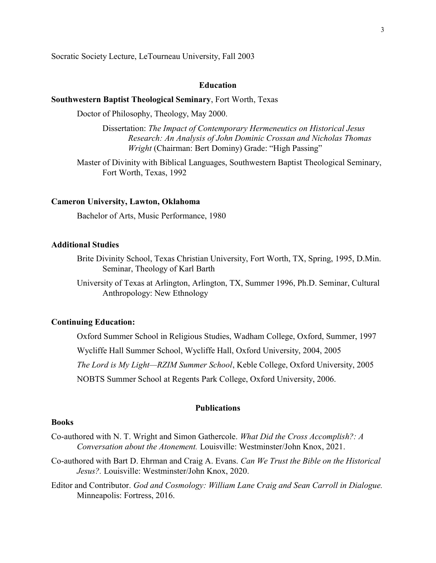Socratic Society Lecture, LeTourneau University, Fall 2003

### **Education**

### Southwestern Baptist Theological Seminary, Fort Worth, Texas

Doctor of Philosophy, Theology, May 2000.

Dissertation: The Impact of Contemporary Hermeneutics on Historical Jesus Research: An Analysis of John Dominic Crossan and Nicholas Thomas Wright (Chairman: Bert Dominy) Grade: "High Passing"

Master of Divinity with Biblical Languages, Southwestern Baptist Theological Seminary, Fort Worth, Texas, 1992

### Cameron University, Lawton, Oklahoma

Bachelor of Arts, Music Performance, 1980

### Additional Studies

Brite Divinity School, Texas Christian University, Fort Worth, TX, Spring, 1995, D.Min. Seminar, Theology of Karl Barth

University of Texas at Arlington, Arlington, TX, Summer 1996, Ph.D. Seminar, Cultural Anthropology: New Ethnology

# Continuing Education:

Oxford Summer School in Religious Studies, Wadham College, Oxford, Summer, 1997 Wycliffe Hall Summer School, Wycliffe Hall, Oxford University, 2004, 2005 The Lord is My Light—RZIM Summer School, Keble College, Oxford University, 2005 NOBTS Summer School at Regents Park College, Oxford University, 2006.

# Publications

# Books

Co-authored with N. T. Wright and Simon Gathercole. What Did the Cross Accomplish?: A Conversation about the Atonement. Louisville: Westminster/John Knox, 2021.

Co-authored with Bart D. Ehrman and Craig A. Evans. Can We Trust the Bible on the Historical Jesus?. Louisville: Westminster/John Knox, 2020.

Editor and Contributor. God and Cosmology: William Lane Craig and Sean Carroll in Dialogue. Minneapolis: Fortress, 2016.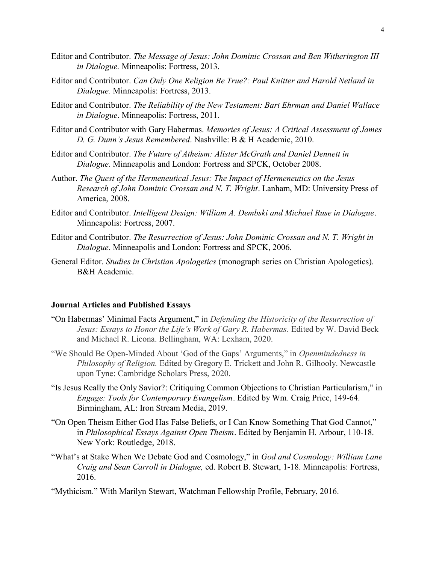- Editor and Contributor. The Message of Jesus: John Dominic Crossan and Ben Witherington III in Dialogue. Minneapolis: Fortress, 2013.
- Editor and Contributor. Can Only One Religion Be True?: Paul Knitter and Harold Netland in Dialogue. Minneapolis: Fortress, 2013.
- Editor and Contributor. The Reliability of the New Testament: Bart Ehrman and Daniel Wallace in Dialogue. Minneapolis: Fortress, 2011.
- Editor and Contributor with Gary Habermas. Memories of Jesus: A Critical Assessment of James D. G. Dunn's Jesus Remembered. Nashville: B & H Academic, 2010.
- Editor and Contributor. The Future of Atheism: Alister McGrath and Daniel Dennett in Dialogue. Minneapolis and London: Fortress and SPCK, October 2008.
- Author. The Quest of the Hermeneutical Jesus: The Impact of Hermeneutics on the Jesus Research of John Dominic Crossan and N. T. Wright. Lanham, MD: University Press of America, 2008.
- Editor and Contributor. Intelligent Design: William A. Dembski and Michael Ruse in Dialogue. Minneapolis: Fortress, 2007.
- Editor and Contributor. The Resurrection of Jesus: John Dominic Crossan and N. T. Wright in Dialogue. Minneapolis and London: Fortress and SPCK, 2006.
- General Editor. Studies in Christian Apologetics (monograph series on Christian Apologetics). B&H Academic.

# Journal Articles and Published Essays

- "On Habermas' Minimal Facts Argument," in Defending the Historicity of the Resurrection of Jesus: Essays to Honor the Life's Work of Gary R. Habermas. Edited by W. David Beck and Michael R. Licona. Bellingham, WA: Lexham, 2020.
- "We Should Be Open-Minded About 'God of the Gaps' Arguments," in *Openmindedness in* Philosophy of Religion. Edited by Gregory E. Trickett and John R. Gilhooly. Newcastle upon Tyne: Cambridge Scholars Press, 2020.
- "Is Jesus Really the Only Savior?: Critiquing Common Objections to Christian Particularism," in Engage: Tools for Contemporary Evangelism. Edited by Wm. Craig Price, 149-64. Birmingham, AL: Iron Stream Media, 2019.
- "On Open Theism Either God Has False Beliefs, or I Can Know Something That God Cannot," in Philosophical Essays Against Open Theism. Edited by Benjamin H. Arbour, 110-18. New York: Routledge, 2018.
- "What's at Stake When We Debate God and Cosmology," in God and Cosmology: William Lane Craig and Sean Carroll in Dialogue, ed. Robert B. Stewart, 1-18. Minneapolis: Fortress, 2016.
- "Mythicism." With Marilyn Stewart, Watchman Fellowship Profile, February, 2016.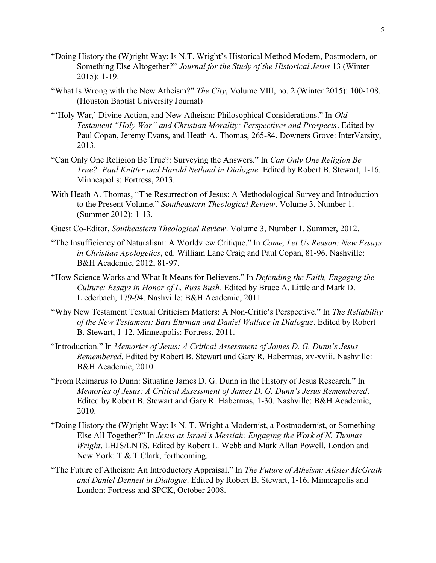- "Doing History the (W)right Way: Is N.T. Wright's Historical Method Modern, Postmodern, or Something Else Altogether?" Journal for the Study of the Historical Jesus 13 (Winter 2015): 1-19.
- "What Is Wrong with the New Atheism?" The City, Volume VIII, no. 2 (Winter 2015): 100-108. (Houston Baptist University Journal)
- "'Holy War,' Divine Action, and New Atheism: Philosophical Considerations." In Old Testament "Holy War" and Christian Morality: Perspectives and Prospects. Edited by Paul Copan, Jeremy Evans, and Heath A. Thomas, 265-84. Downers Grove: InterVarsity, 2013.
- "Can Only One Religion Be True?: Surveying the Answers." In Can Only One Religion Be True?: Paul Knitter and Harold Netland in Dialogue. Edited by Robert B. Stewart, 1-16. Minneapolis: Fortress, 2013.
- With Heath A. Thomas, "The Resurrection of Jesus: A Methodological Survey and Introduction to the Present Volume." Southeastern Theological Review. Volume 3, Number 1. (Summer 2012): 1-13.
- Guest Co-Editor, Southeastern Theological Review. Volume 3, Number 1. Summer, 2012.
- "The Insufficiency of Naturalism: A Worldview Critique." In Come, Let Us Reason: New Essays in Christian Apologetics, ed. William Lane Craig and Paul Copan, 81-96. Nashville: B&H Academic, 2012, 81-97.
- "How Science Works and What It Means for Believers." In Defending the Faith, Engaging the Culture: Essays in Honor of L. Russ Bush. Edited by Bruce A. Little and Mark D. Liederbach, 179-94. Nashville: B&H Academic, 2011.
- "Why New Testament Textual Criticism Matters: A Non-Critic's Perspective." In The Reliability of the New Testament: Bart Ehrman and Daniel Wallace in Dialogue. Edited by Robert B. Stewart, 1-12. Minneapolis: Fortress, 2011.
- "Introduction." In Memories of Jesus: A Critical Assessment of James D. G. Dunn's Jesus Remembered. Edited by Robert B. Stewart and Gary R. Habermas, xv-xviii. Nashville: B&H Academic, 2010.
- "From Reimarus to Dunn: Situating James D. G. Dunn in the History of Jesus Research." In Memories of Jesus: A Critical Assessment of James D. G. Dunn's Jesus Remembered. Edited by Robert B. Stewart and Gary R. Habermas, 1-30. Nashville: B&H Academic, 2010.
- "Doing History the (W)right Way: Is N. T. Wright a Modernist, a Postmodernist, or Something Else All Together?" In Jesus as Israel's Messiah: Engaging the Work of N. Thomas Wright, LHJS/LNTS. Edited by Robert L. Webb and Mark Allan Powell. London and New York: T & T Clark, forthcoming.
- "The Future of Atheism: An Introductory Appraisal." In The Future of Atheism: Alister McGrath and Daniel Dennett in Dialogue. Edited by Robert B. Stewart, 1-16. Minneapolis and London: Fortress and SPCK, October 2008.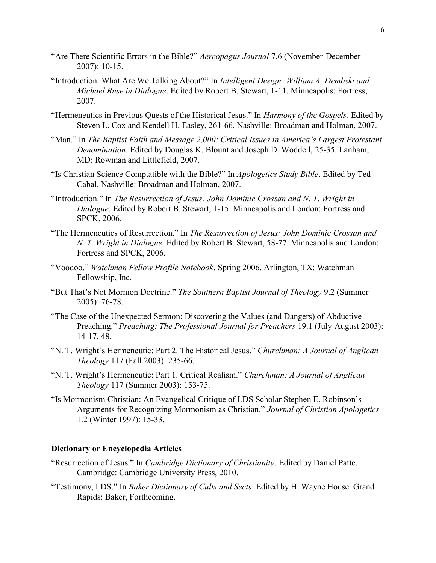- "Are There Scientific Errors in the Bible?" Aereopagus Journal 7.6 (November-December 2007): 10-15.
- "Introduction: What Are We Talking About?" In Intelligent Design: William A. Dembski and Michael Ruse in Dialogue. Edited by Robert B. Stewart, 1-11. Minneapolis: Fortress, 2007.
- "Hermeneutics in Previous Quests of the Historical Jesus." In Harmony of the Gospels. Edited by Steven L. Cox and Kendell H. Easley, 261-66. Nashville: Broadman and Holman, 2007.
- "Man." In The Baptist Faith and Message 2,000: Critical Issues in America's Largest Protestant Denomination. Edited by Douglas K. Blount and Joseph D. Woddell, 25-35. Lanham, MD: Rowman and Littlefield, 2007.
- "Is Christian Science Comptatible with the Bible?" In Apologetics Study Bible. Edited by Ted Cabal. Nashville: Broadman and Holman, 2007.
- "Introduction." In The Resurrection of Jesus: John Dominic Crossan and N. T. Wright in Dialogue. Edited by Robert B. Stewart, 1-15. Minneapolis and London: Fortress and SPCK, 2006.
- "The Hermeneutics of Resurrection." In The Resurrection of Jesus: John Dominic Crossan and N. T. Wright in Dialogue. Edited by Robert B. Stewart, 58-77. Minneapolis and London: Fortress and SPCK, 2006.
- "Voodoo." Watchman Fellow Profile Notebook. Spring 2006. Arlington, TX: Watchman Fellowship, Inc.
- "But That's Not Mormon Doctrine." The Southern Baptist Journal of Theology 9.2 (Summer 2005): 76-78.
- "The Case of the Unexpected Sermon: Discovering the Values (and Dangers) of Abductive Preaching." *Preaching: The Professional Journal for Preachers* 19.1 (July-August 2003): 14-17, 48.
- "N. T. Wright's Hermeneutic: Part 2. The Historical Jesus." Churchman: A Journal of Anglican Theology 117 (Fall 2003): 235-66.
- "N. T. Wright's Hermeneutic: Part 1. Critical Realism." Churchman: A Journal of Anglican Theology 117 (Summer 2003): 153-75.
- "Is Mormonism Christian: An Evangelical Critique of LDS Scholar Stephen E. Robinson's Arguments for Recognizing Mormonism as Christian." Journal of Christian Apologetics 1.2 (Winter 1997): 15-33.

## Dictionary or Encyclopedia Articles

- "Resurrection of Jesus." In Cambridge Dictionary of Christianity. Edited by Daniel Patte. Cambridge: Cambridge University Press, 2010.
- "Testimony, LDS." In Baker Dictionary of Cults and Sects. Edited by H. Wayne House. Grand Rapids: Baker, Forthcoming.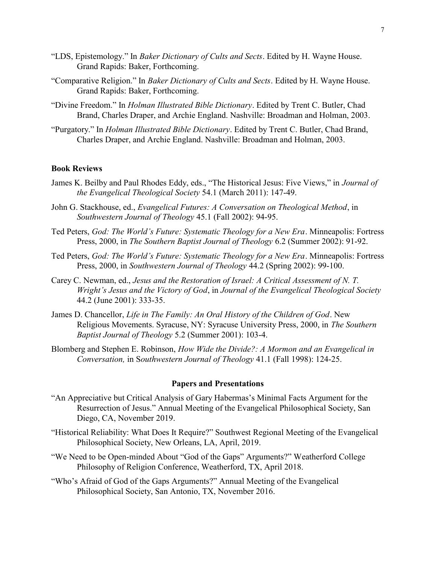- "LDS, Epistemology." In Baker Dictionary of Cults and Sects. Edited by H. Wayne House. Grand Rapids: Baker, Forthcoming.
- "Comparative Religion." In Baker Dictionary of Cults and Sects. Edited by H. Wayne House. Grand Rapids: Baker, Forthcoming.
- "Divine Freedom." In Holman Illustrated Bible Dictionary. Edited by Trent C. Butler, Chad Brand, Charles Draper, and Archie England. Nashville: Broadman and Holman, 2003.
- "Purgatory." In Holman Illustrated Bible Dictionary. Edited by Trent C. Butler, Chad Brand, Charles Draper, and Archie England. Nashville: Broadman and Holman, 2003.

# Book Reviews

- James K. Beilby and Paul Rhodes Eddy, eds., "The Historical Jesus: Five Views," in Journal of the Evangelical Theological Society 54.1 (March 2011): 147-49.
- John G. Stackhouse, ed., Evangelical Futures: A Conversation on Theological Method, in Southwestern Journal of Theology 45.1 (Fall 2002): 94-95.
- Ted Peters, God: The World's Future: Systematic Theology for a New Era. Minneapolis: Fortress Press, 2000, in The Southern Baptist Journal of Theology 6.2 (Summer 2002): 91-92.
- Ted Peters, God: The World's Future: Systematic Theology for a New Era. Minneapolis: Fortress Press, 2000, in Southwestern Journal of Theology 44.2 (Spring 2002): 99-100.
- Carey C. Newman, ed., Jesus and the Restoration of Israel: A Critical Assessment of N. T. Wright's Jesus and the Victory of God, in Journal of the Evangelical Theological Society 44.2 (June 2001): 333-35.
- James D. Chancellor, Life in The Family: An Oral History of the Children of God. New Religious Movements. Syracuse, NY: Syracuse University Press, 2000, in The Southern Baptist Journal of Theology 5.2 (Summer 2001): 103-4.
- Blomberg and Stephen E. Robinson, How Wide the Divide?: A Mormon and an Evangelical in Conversation, in Southwestern Journal of Theology 41.1 (Fall 1998): 124-25.

#### Papers and Presentations

- "An Appreciative but Critical Analysis of Gary Habermas's Minimal Facts Argument for the Resurrection of Jesus." Annual Meeting of the Evangelical Philosophical Society, San Diego, CA, November 2019.
- "Historical Reliability: What Does It Require?" Southwest Regional Meeting of the Evangelical Philosophical Society, New Orleans, LA, April, 2019.
- "We Need to be Open-minded About "God of the Gaps" Arguments?" Weatherford College Philosophy of Religion Conference, Weatherford, TX, April 2018.
- "Who's Afraid of God of the Gaps Arguments?" Annual Meeting of the Evangelical Philosophical Society, San Antonio, TX, November 2016.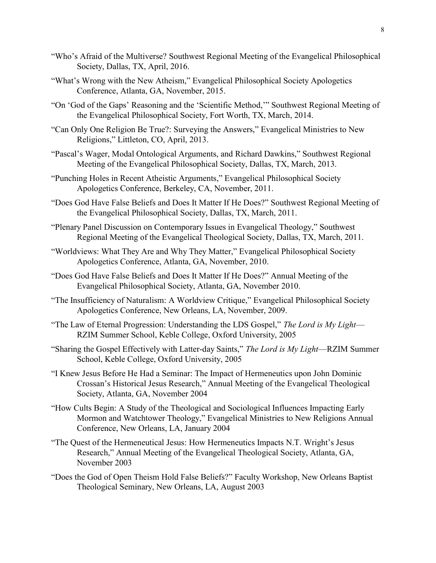- "Who's Afraid of the Multiverse? Southwest Regional Meeting of the Evangelical Philosophical Society, Dallas, TX, April, 2016.
- "What's Wrong with the New Atheism," Evangelical Philosophical Society Apologetics Conference, Atlanta, GA, November, 2015.
- "On 'God of the Gaps' Reasoning and the 'Scientific Method,'" Southwest Regional Meeting of the Evangelical Philosophical Society, Fort Worth, TX, March, 2014.
- "Can Only One Religion Be True?: Surveying the Answers," Evangelical Ministries to New Religions," Littleton, CO, April, 2013.
- "Pascal's Wager, Modal Ontological Arguments, and Richard Dawkins," Southwest Regional Meeting of the Evangelical Philosophical Society, Dallas, TX, March, 2013.
- "Punching Holes in Recent Atheistic Arguments," Evangelical Philosophical Society Apologetics Conference, Berkeley, CA, November, 2011.
- "Does God Have False Beliefs and Does It Matter If He Does?" Southwest Regional Meeting of the Evangelical Philosophical Society, Dallas, TX, March, 2011.
- "Plenary Panel Discussion on Contemporary Issues in Evangelical Theology," Southwest Regional Meeting of the Evangelical Theological Society, Dallas, TX, March, 2011.
- "Worldviews: What They Are and Why They Matter," Evangelical Philosophical Society Apologetics Conference, Atlanta, GA, November, 2010.
- "Does God Have False Beliefs and Does It Matter If He Does?" Annual Meeting of the Evangelical Philosophical Society, Atlanta, GA, November 2010.
- "The Insufficiency of Naturalism: A Worldview Critique," Evangelical Philosophical Society Apologetics Conference, New Orleans, LA, November, 2009.
- "The Law of Eternal Progression: Understanding the LDS Gospel," The Lord is  $My Light$  RZIM Summer School, Keble College, Oxford University, 2005
- "Sharing the Gospel Effectively with Latter-day Saints," The Lord is My Light—RZIM Summer School, Keble College, Oxford University, 2005
- "I Knew Jesus Before He Had a Seminar: The Impact of Hermeneutics upon John Dominic Crossan's Historical Jesus Research," Annual Meeting of the Evangelical Theological Society, Atlanta, GA, November 2004
- "How Cults Begin: A Study of the Theological and Sociological Influences Impacting Early Mormon and Watchtower Theology," Evangelical Ministries to New Religions Annual Conference, New Orleans, LA, January 2004
- "The Quest of the Hermeneutical Jesus: How Hermeneutics Impacts N.T. Wright's Jesus Research," Annual Meeting of the Evangelical Theological Society, Atlanta, GA, November 2003
- "Does the God of Open Theism Hold False Beliefs?" Faculty Workshop, New Orleans Baptist Theological Seminary, New Orleans, LA, August 2003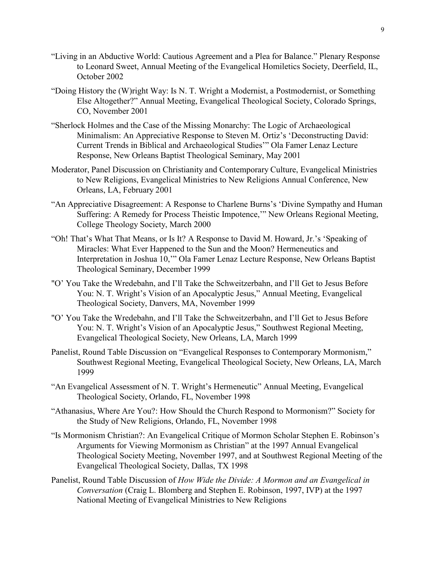- "Living in an Abductive World: Cautious Agreement and a Plea for Balance." Plenary Response to Leonard Sweet, Annual Meeting of the Evangelical Homiletics Society, Deerfield, IL, October 2002
- "Doing History the (W)right Way: Is N. T. Wright a Modernist, a Postmodernist, or Something Else Altogether?" Annual Meeting, Evangelical Theological Society, Colorado Springs, CO, November 2001
- "Sherlock Holmes and the Case of the Missing Monarchy: The Logic of Archaeological Minimalism: An Appreciative Response to Steven M. Ortiz's 'Deconstructing David: Current Trends in Biblical and Archaeological Studies'" Ola Famer Lenaz Lecture Response, New Orleans Baptist Theological Seminary, May 2001
- Moderator, Panel Discussion on Christianity and Contemporary Culture, Evangelical Ministries to New Religions, Evangelical Ministries to New Religions Annual Conference, New Orleans, LA, February 2001
- "An Appreciative Disagreement: A Response to Charlene Burns's 'Divine Sympathy and Human Suffering: A Remedy for Process Theistic Impotence,'" New Orleans Regional Meeting, College Theology Society, March 2000
- "Oh! That's What That Means, or Is It? A Response to David M. Howard, Jr.'s 'Speaking of Miracles: What Ever Happened to the Sun and the Moon? Hermeneutics and Interpretation in Joshua 10,'" Ola Famer Lenaz Lecture Response, New Orleans Baptist Theological Seminary, December 1999
- "O' You Take the Wredebahn, and I'll Take the Schweitzerbahn, and I'll Get to Jesus Before You: N. T. Wright's Vision of an Apocalyptic Jesus," Annual Meeting, Evangelical Theological Society, Danvers, MA, November 1999
- "O' You Take the Wredebahn, and I'll Take the Schweitzerbahn, and I'll Get to Jesus Before You: N. T. Wright's Vision of an Apocalyptic Jesus," Southwest Regional Meeting, Evangelical Theological Society, New Orleans, LA, March 1999
- Panelist, Round Table Discussion on "Evangelical Responses to Contemporary Mormonism," Southwest Regional Meeting, Evangelical Theological Society, New Orleans, LA, March 1999
- "An Evangelical Assessment of N. T. Wright's Hermeneutic" Annual Meeting, Evangelical Theological Society, Orlando, FL, November 1998
- "Athanasius, Where Are You?: How Should the Church Respond to Mormonism?" Society for the Study of New Religions, Orlando, FL, November 1998
- "Is Mormonism Christian?: An Evangelical Critique of Mormon Scholar Stephen E. Robinson's Arguments for Viewing Mormonism as Christian" at the 1997 Annual Evangelical Theological Society Meeting, November 1997, and at Southwest Regional Meeting of the Evangelical Theological Society, Dallas, TX 1998
- Panelist, Round Table Discussion of How Wide the Divide: A Mormon and an Evangelical in Conversation (Craig L. Blomberg and Stephen E. Robinson, 1997, IVP) at the 1997 National Meeting of Evangelical Ministries to New Religions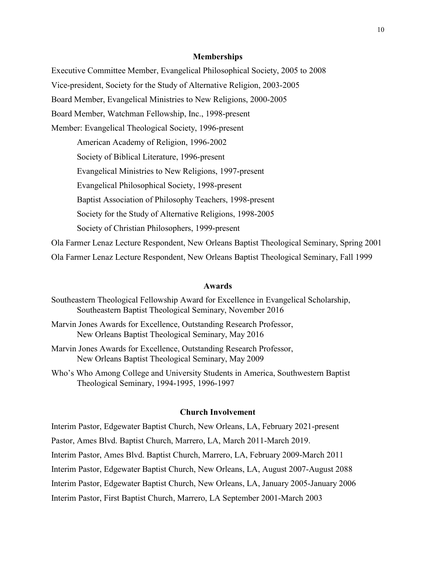#### Memberships

Executive Committee Member, Evangelical Philosophical Society, 2005 to 2008 Vice-president, Society for the Study of Alternative Religion, 2003-2005 Board Member, Evangelical Ministries to New Religions, 2000-2005 Board Member, Watchman Fellowship, Inc., 1998-present Member: Evangelical Theological Society, 1996-present American Academy of Religion, 1996-2002 Society of Biblical Literature, 1996-present Evangelical Ministries to New Religions, 1997-present Evangelical Philosophical Society, 1998-present Baptist Association of Philosophy Teachers, 1998-present Society for the Study of Alternative Religions, 1998-2005 Society of Christian Philosophers, 1999-present Ola Farmer Lenaz Lecture Respondent, New Orleans Baptist Theological Seminary, Spring 2001 Ola Farmer Lenaz Lecture Respondent, New Orleans Baptist Theological Seminary, Fall 1999

### Awards

- Southeastern Theological Fellowship Award for Excellence in Evangelical Scholarship, Southeastern Baptist Theological Seminary, November 2016
- Marvin Jones Awards for Excellence, Outstanding Research Professor, New Orleans Baptist Theological Seminary, May 2016
- Marvin Jones Awards for Excellence, Outstanding Research Professor, New Orleans Baptist Theological Seminary, May 2009
- Who's Who Among College and University Students in America, Southwestern Baptist Theological Seminary, 1994-1995, 1996-1997

### Church Involvement

Interim Pastor, Edgewater Baptist Church, New Orleans, LA, February 2021-present Pastor, Ames Blvd. Baptist Church, Marrero, LA, March 2011-March 2019. Interim Pastor, Ames Blvd. Baptist Church, Marrero, LA, February 2009-March 2011 Interim Pastor, Edgewater Baptist Church, New Orleans, LA, August 2007-August 2088 Interim Pastor, Edgewater Baptist Church, New Orleans, LA, January 2005-January 2006 Interim Pastor, First Baptist Church, Marrero, LA September 2001-March 2003